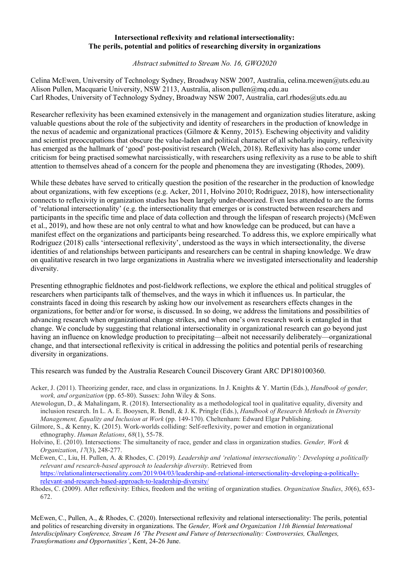## Intersectional reflexivity and relational intersectionality: The perils, potential and politics of researching diversity in organizations

Abstract submitted to Stream No. 16, GWO2020

Celina McEwen, University of Technology Sydney, Broadway NSW 2007, Australia, celina.mcewen@uts.edu.au Alison Pullen, Macquarie University, NSW 2113, Australia, alison.pullen@mq.edu.au Carl Rhodes, University of Technology Sydney, Broadway NSW 2007, Australia, carl.rhodes@uts.edu.au

Researcher reflexivity has been examined extensively in the management and organization studies literature, asking valuable questions about the role of the subjectivity and identity of researchers in the production of knowledge in the nexus of academic and organizational practices (Gilmore & Kenny, 2015). Eschewing objectivity and validity and scientist preoccupations that obscure the value-laden and political character of all scholarly inquiry, reflexivity has emerged as the hallmark of 'good' post-positivist research (Welch, 2018). Reflexivity has also come under criticism for being practised somewhat narcissistically, with researchers using reflexivity as a ruse to be able to shift attention to themselves ahead of a concern for the people and phenomena they are investigating (Rhodes, 2009).

While these debates have served to critically question the position of the researcher in the production of knowledge about organizations, with few exceptions (e.g. Acker, 2011, Holvino 2010; Rodriguez, 2018), how intersectionality connects to reflexivity in organization studies has been largely under-theorized. Even less attended to are the forms of 'relational intersectionality' (e.g. the intersectionality that emerges or is constructed between researchers and participants in the specific time and place of data collection and through the lifespan of research projects) (McEwen et al., 2019), and how these are not only central to what and how knowledge can be produced, but can have a manifest effect on the organizations and participants being researched. To address this, we explore empirically what Rodriguez (2018) calls 'intersectional reflexivity', understood as the ways in which intersectionality, the diverse identities of and relationships between participants and researchers can be central in shaping knowledge. We draw on qualitative research in two large organizations in Australia where we investigated intersectionality and leadership diversity.

Presenting ethnographic fieldnotes and post-fieldwork reflections, we explore the ethical and political struggles of researchers when participants talk of themselves, and the ways in which it influences us. In particular, the constraints faced in doing this research by asking how our involvement as researchers effects changes in the organizations, for better and/or for worse, is discussed. In so doing, we address the limitations and possibilities of advancing research when organizational change strikes, and when one's own research work is entangled in that change. We conclude by suggesting that relational intersectionality in organizational research can go beyond just having an influence on knowledge production to precipitating—albeit not necessarily deliberately—organizational change, and that intersectional reflexivity is critical in addressing the politics and potential perils of researching diversity in organizations.

This research was funded by the Australia Research Council Discovery Grant ARC DP180100360.

- Acker, J. (2011). Theorizing gender, race, and class in organizations. In J. Knights & Y. Martin (Eds.), Handbook of gender, work, and organization (pp. 65-80). Sussex: John Wiley & Sons.
- Atewologun, D., & Mahalingam, R. (2018). Intersectionality as a methodological tool in qualitative equality, diversity and inclusion research. In L. A. E. Booysen, R. Bendl, & J. K. Pringle (Eds.), Handbook of Research Methods in Diversity Management, Equality and Inclusion at Work (pp. 149-170). Cheltenham: Edward Elgar Publishing.
- Gilmore, S., & Kenny, K. (2015). Work-worlds colliding: Self-reflexivity, power and emotion in organizational ethnography. Human Relations, 68(1), 55-78.
- Holvino, E. (2010). Intersections: The simultaneity of race, gender and class in organization studies. Gender, Work & Organization, 17(3), 248-277.
- McEwen, C., Liu, H. Pullen, A. & Rhodes, C. (2019). Leadership and 'relational intersectionality': Developing a politically relevant and research-based approach to leadership diversity. Retrieved from https://relationalintersectionality.com/2019/04/03/leadership-and-relational-intersectionality-developing-a-politicallyrelevant-and-research-based-approach-to-leadership-diversity/
- Rhodes, C. (2009). After reflexivity: Ethics, freedom and the writing of organization studies. *Organization Studies*, 30(6), 653-672.

McEwen, C., Pullen, A., & Rhodes, C. (2020). Intersectional reflexivity and relational intersectionality: The perils, potential and politics of researching diversity in organizations. The Gender, Work and Organization 11th Biennial International Interdisciplinary Conference, Stream 16 'The Present and Future of Intersectionality: Controversies, Challenges, Transformations and Opportunities', Kent, 24-26 June.